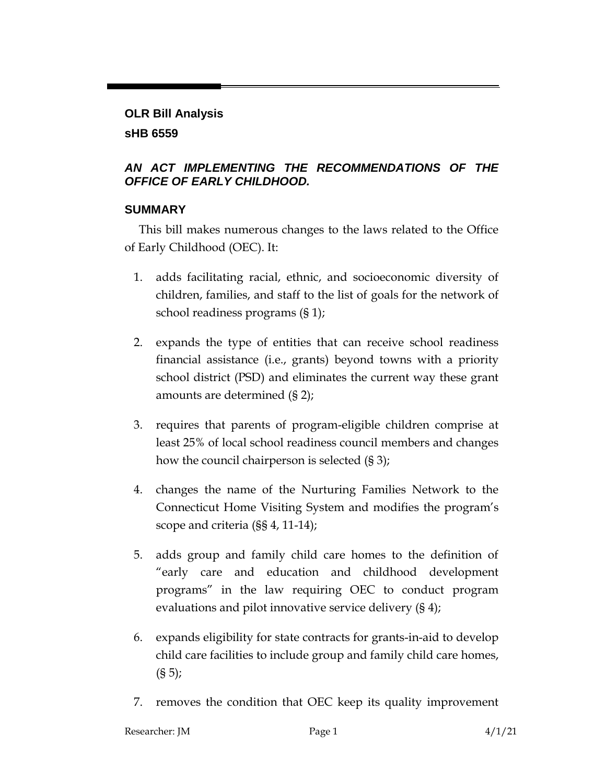# **OLR Bill Analysis sHB 6559**

#### *AN ACT IMPLEMENTING THE RECOMMENDATIONS OF THE OFFICE OF EARLY CHILDHOOD.*

### **SUMMARY**

This bill makes numerous changes to the laws related to the Office of Early Childhood (OEC). It:

- 1. adds facilitating racial, ethnic, and socioeconomic diversity of children, families, and staff to the list of goals for the network of school readiness programs (§ 1);
- 2. expands the type of entities that can receive school readiness financial assistance (i.e., grants) beyond towns with a priority school district (PSD) and eliminates the current way these grant amounts are determined (§ 2);
- 3. requires that parents of program-eligible children comprise at least 25% of local school readiness council members and changes how the council chairperson is selected (§ 3);
- 4. changes the name of the Nurturing Families Network to the Connecticut Home Visiting System and modifies the program's scope and criteria (§§ 4, 11-14);
- 5. adds group and family child care homes to the definition of "early care and education and childhood development programs" in the law requiring OEC to conduct program evaluations and pilot innovative service delivery (§ 4);
- 6. expands eligibility for state contracts for grants-in-aid to develop child care facilities to include group and family child care homes,  $(S 5)$ ;
- 7. removes the condition that OEC keep its quality improvement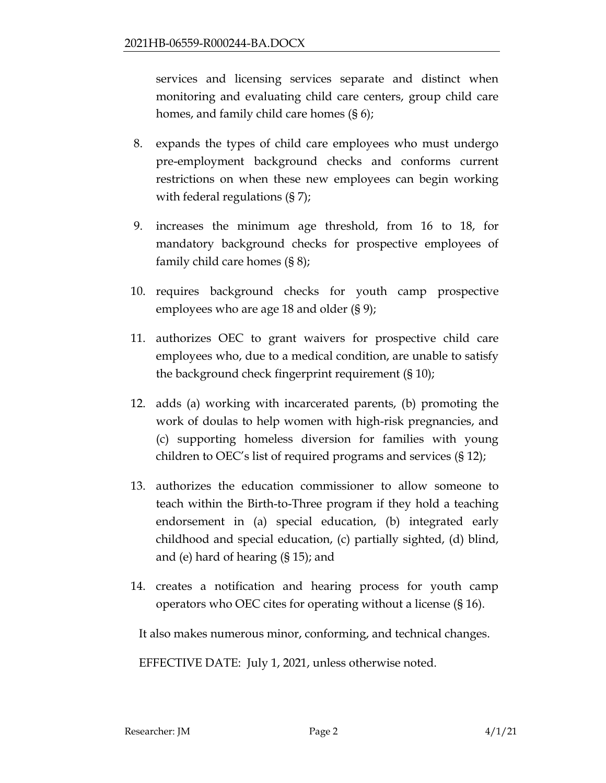services and licensing services separate and distinct when monitoring and evaluating child care centers, group child care homes, and family child care homes (§ 6);

- 8. expands the types of child care employees who must undergo pre-employment background checks and conforms current restrictions on when these new employees can begin working with federal regulations (§ 7);
- 9. increases the minimum age threshold, from 16 to 18, for mandatory background checks for prospective employees of family child care homes (§ 8);
- 10. requires background checks for youth camp prospective employees who are age 18 and older (§ 9);
- 11. authorizes OEC to grant waivers for prospective child care employees who, due to a medical condition, are unable to satisfy the background check fingerprint requirement (§ 10);
- 12. adds (a) working with incarcerated parents, (b) promoting the work of doulas to help women with high-risk pregnancies, and (c) supporting homeless diversion for families with young children to OEC's list of required programs and services (§ 12);
- 13. authorizes the education commissioner to allow someone to teach within the Birth-to-Three program if they hold a teaching endorsement in (a) special education, (b) integrated early childhood and special education, (c) partially sighted, (d) blind, and (e) hard of hearing (§ 15); and
- 14. creates a notification and hearing process for youth camp operators who OEC cites for operating without a license (§ 16).

It also makes numerous minor, conforming, and technical changes.

EFFECTIVE DATE: July 1, 2021, unless otherwise noted.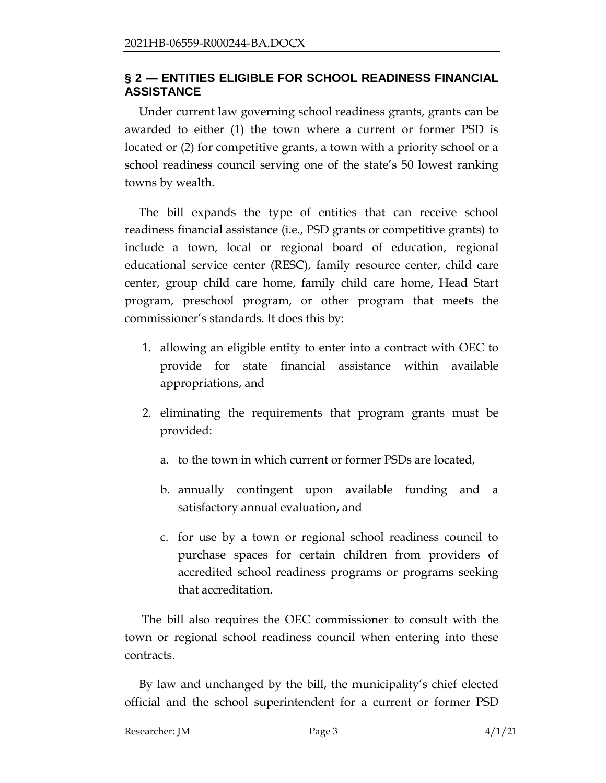#### **§ 2 — ENTITIES ELIGIBLE FOR SCHOOL READINESS FINANCIAL ASSISTANCE**

Under current law governing school readiness grants, grants can be awarded to either (1) the town where a current or former PSD is located or (2) for competitive grants, a town with a priority school or a school readiness council serving one of the state's 50 lowest ranking towns by wealth.

The bill expands the type of entities that can receive school readiness financial assistance (i.e., PSD grants or competitive grants) to include a town, local or regional board of education, regional educational service center (RESC), family resource center, child care center, group child care home, family child care home, Head Start program, preschool program, or other program that meets the commissioner's standards. It does this by:

- 1. allowing an eligible entity to enter into a contract with OEC to provide for state financial assistance within available appropriations, and
- 2. eliminating the requirements that program grants must be provided:
	- a. to the town in which current or former PSDs are located,
	- b. annually contingent upon available funding and a satisfactory annual evaluation, and
	- c. for use by a town or regional school readiness council to purchase spaces for certain children from providers of accredited school readiness programs or programs seeking that accreditation.

The bill also requires the OEC commissioner to consult with the town or regional school readiness council when entering into these contracts.

By law and unchanged by the bill, the municipality's chief elected official and the school superintendent for a current or former PSD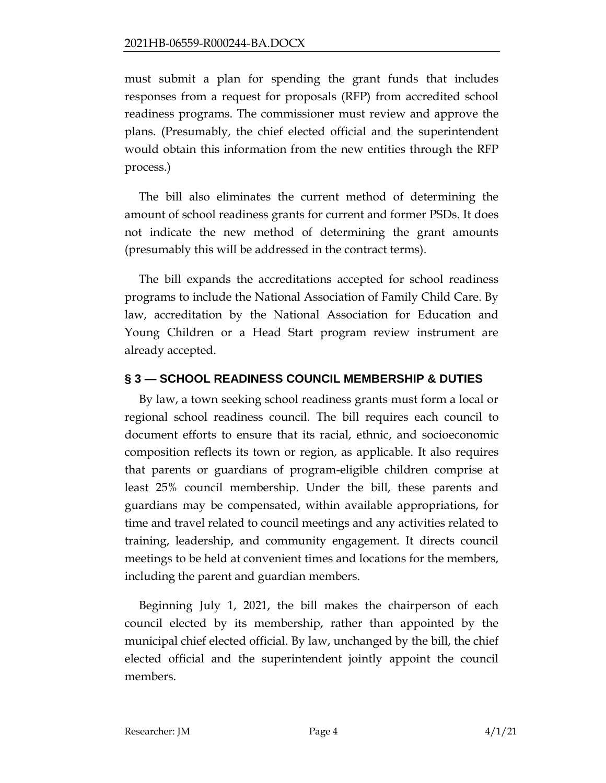must submit a plan for spending the grant funds that includes responses from a request for proposals (RFP) from accredited school readiness programs. The commissioner must review and approve the plans. (Presumably, the chief elected official and the superintendent would obtain this information from the new entities through the RFP process.)

The bill also eliminates the current method of determining the amount of school readiness grants for current and former PSDs. It does not indicate the new method of determining the grant amounts (presumably this will be addressed in the contract terms).

The bill expands the accreditations accepted for school readiness programs to include the National Association of Family Child Care. By law, accreditation by the National Association for Education and Young Children or a Head Start program review instrument are already accepted.

### **§ 3 — SCHOOL READINESS COUNCIL MEMBERSHIP & DUTIES**

By law, a town seeking school readiness grants must form a local or regional school readiness council. The bill requires each council to document efforts to ensure that its racial, ethnic, and socioeconomic composition reflects its town or region, as applicable. It also requires that parents or guardians of program-eligible children comprise at least 25% council membership. Under the bill, these parents and guardians may be compensated, within available appropriations, for time and travel related to council meetings and any activities related to training, leadership, and community engagement. It directs council meetings to be held at convenient times and locations for the members, including the parent and guardian members.

Beginning July 1, 2021, the bill makes the chairperson of each council elected by its membership, rather than appointed by the municipal chief elected official. By law, unchanged by the bill, the chief elected official and the superintendent jointly appoint the council members.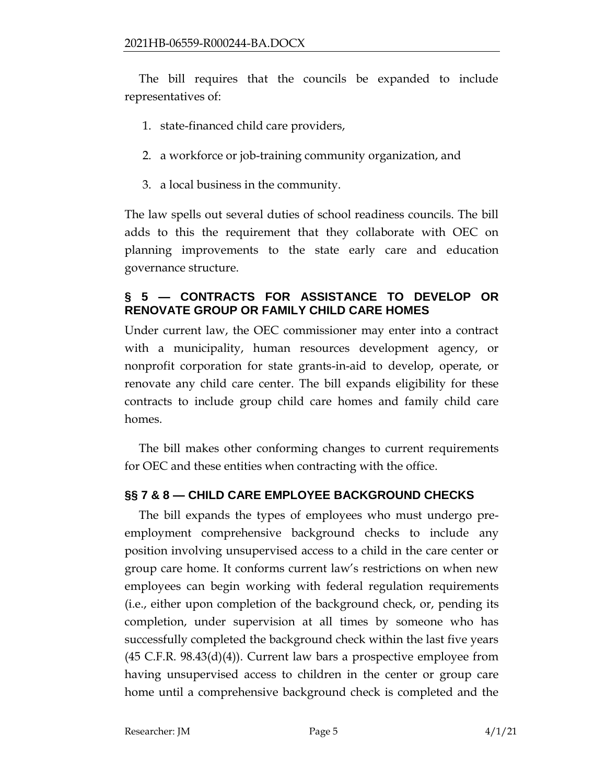The bill requires that the councils be expanded to include representatives of:

- 1. state-financed child care providers,
- 2. a workforce or job-training community organization, and
- 3. a local business in the community.

The law spells out several duties of school readiness councils. The bill adds to this the requirement that they collaborate with OEC on planning improvements to the state early care and education governance structure.

### **§ 5 — CONTRACTS FOR ASSISTANCE TO DEVELOP OR RENOVATE GROUP OR FAMILY CHILD CARE HOMES**

Under current law, the OEC commissioner may enter into a contract with a municipality, human resources development agency, or nonprofit corporation for state grants-in-aid to develop, operate, or renovate any child care center. The bill expands eligibility for these contracts to include group child care homes and family child care homes.

The bill makes other conforming changes to current requirements for OEC and these entities when contracting with the office.

## **§§ 7 & 8 — CHILD CARE EMPLOYEE BACKGROUND CHECKS**

The bill expands the types of employees who must undergo preemployment comprehensive background checks to include any position involving unsupervised access to a child in the care center or group care home. It conforms current law's restrictions on when new employees can begin working with federal regulation requirements (i.e., either upon completion of the background check, or, pending its completion, under supervision at all times by someone who has successfully completed the background check within the last five years  $(45 \text{ C.F.R. } 98.43(d)(4))$ . Current law bars a prospective employee from having unsupervised access to children in the center or group care home until a comprehensive background check is completed and the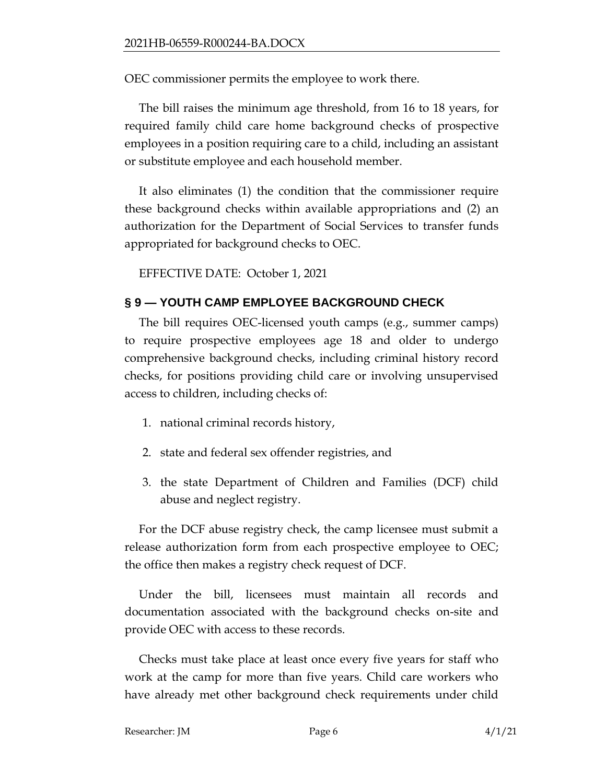OEC commissioner permits the employee to work there.

The bill raises the minimum age threshold, from 16 to 18 years, for required family child care home background checks of prospective employees in a position requiring care to a child, including an assistant or substitute employee and each household member.

It also eliminates (1) the condition that the commissioner require these background checks within available appropriations and (2) an authorization for the Department of Social Services to transfer funds appropriated for background checks to OEC.

EFFECTIVE DATE: October 1, 2021

### **§ 9 — YOUTH CAMP EMPLOYEE BACKGROUND CHECK**

The bill requires OEC-licensed youth camps (e.g., summer camps) to require prospective employees age 18 and older to undergo comprehensive background checks, including criminal history record checks, for positions providing child care or involving unsupervised access to children, including checks of:

- 1. national criminal records history,
- 2. state and federal sex offender registries, and
- 3. the state Department of Children and Families (DCF) child abuse and neglect registry.

For the DCF abuse registry check, the camp licensee must submit a release authorization form from each prospective employee to OEC; the office then makes a registry check request of DCF.

Under the bill, licensees must maintain all records and documentation associated with the background checks on-site and provide OEC with access to these records.

Checks must take place at least once every five years for staff who work at the camp for more than five years. Child care workers who have already met other background check requirements under child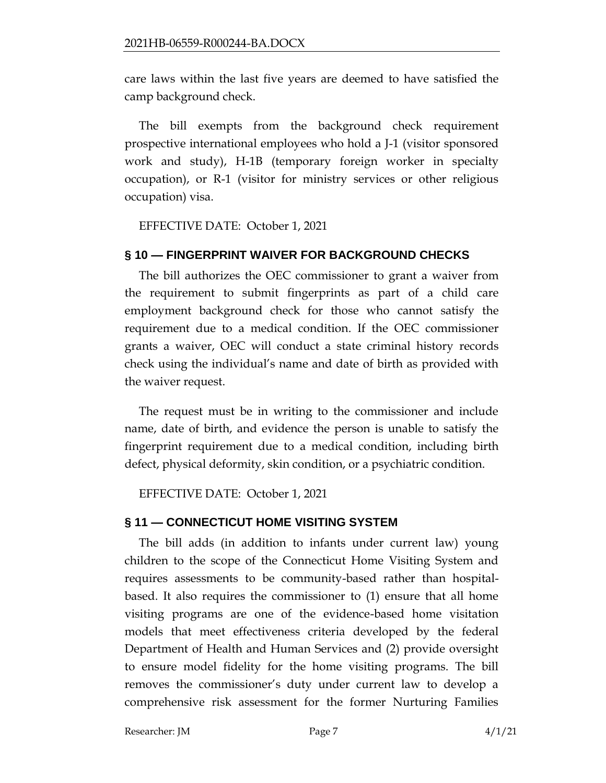care laws within the last five years are deemed to have satisfied the camp background check.

The bill exempts from the background check requirement prospective international employees who hold a J-1 (visitor sponsored work and study), H-1B (temporary foreign worker in specialty occupation), or R-1 (visitor for ministry services or other religious occupation) visa.

EFFECTIVE DATE: October 1, 2021

### **§ 10 — FINGERPRINT WAIVER FOR BACKGROUND CHECKS**

The bill authorizes the OEC commissioner to grant a waiver from the requirement to submit fingerprints as part of a child care employment background check for those who cannot satisfy the requirement due to a medical condition. If the OEC commissioner grants a waiver, OEC will conduct a state criminal history records check using the individual's name and date of birth as provided with the waiver request.

The request must be in writing to the commissioner and include name, date of birth, and evidence the person is unable to satisfy the fingerprint requirement due to a medical condition, including birth defect, physical deformity, skin condition, or a psychiatric condition.

EFFECTIVE DATE: October 1, 2021

#### **§ 11 — CONNECTICUT HOME VISITING SYSTEM**

The bill adds (in addition to infants under current law) young children to the scope of the Connecticut Home Visiting System and requires assessments to be community-based rather than hospitalbased. It also requires the commissioner to (1) ensure that all home visiting programs are one of the evidence-based home visitation models that meet effectiveness criteria developed by the federal Department of Health and Human Services and (2) provide oversight to ensure model fidelity for the home visiting programs. The bill removes the commissioner's duty under current law to develop a comprehensive risk assessment for the former Nurturing Families

Researcher: JM Page 7 4/1/21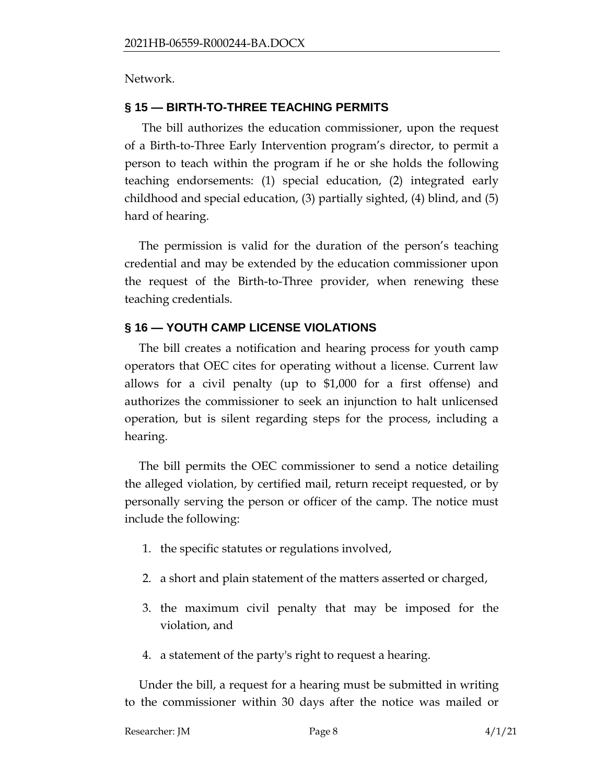Network.

### **§ 15 — BIRTH-TO-THREE TEACHING PERMITS**

The bill authorizes the education commissioner, upon the request of a Birth-to-Three Early Intervention program's director, to permit a person to teach within the program if he or she holds the following teaching endorsements: (1) special education, (2) integrated early childhood and special education, (3) partially sighted, (4) blind, and (5) hard of hearing.

The permission is valid for the duration of the person's teaching credential and may be extended by the education commissioner upon the request of the Birth-to-Three provider, when renewing these teaching credentials.

## **§ 16 — YOUTH CAMP LICENSE VIOLATIONS**

The bill creates a notification and hearing process for youth camp operators that OEC cites for operating without a license. Current law allows for a civil penalty (up to \$1,000 for a first offense) and authorizes the commissioner to seek an injunction to halt unlicensed operation, but is silent regarding steps for the process, including a hearing.

The bill permits the OEC commissioner to send a notice detailing the alleged violation, by certified mail, return receipt requested, or by personally serving the person or officer of the camp. The notice must include the following:

- 1. the specific statutes or regulations involved,
- 2. a short and plain statement of the matters asserted or charged,
- 3. the maximum civil penalty that may be imposed for the violation, and
- 4. a statement of the party's right to request a hearing.

Under the bill, a request for a hearing must be submitted in writing to the commissioner within 30 days after the notice was mailed or

| Researcher: JM | Page 8 | 4/1/21 |
|----------------|--------|--------|
|                |        |        |